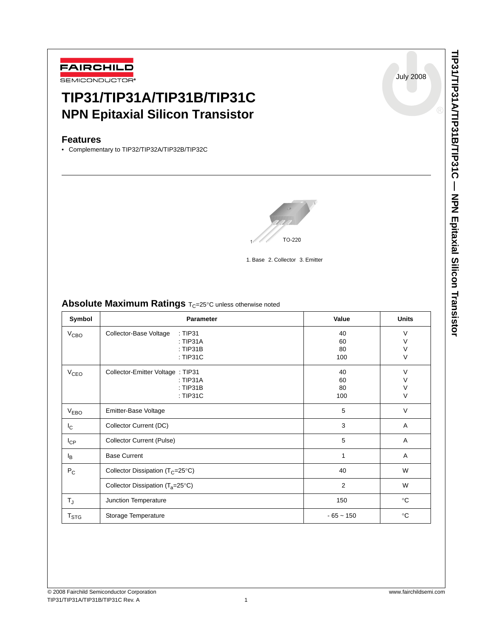

# **TIP31/TIP31A/TIP31B/TIP31C NPN Epitaxial Silicon Transistor**

## **Features**

• Complementary to TIP32/TIP32A/TIP32B/TIP32C



1. Base 2. Collector 3. Emitter

## **Absolute Maximum Ratings**  $T_C = 25^\circ C$  unless otherwise noted

| Symbol                 | Parameter                                                             | Value                 | <b>Units</b>               |
|------------------------|-----------------------------------------------------------------------|-----------------------|----------------------------|
| V <sub>CBO</sub>       | Collector-Base Voltage<br>: TIP31<br>: TIP31A<br>: TIP31B<br>: TIP31C | 40<br>60<br>80<br>100 | V<br>V<br>$\vee$<br>V      |
| <b>V<sub>CEO</sub></b> | Collector-Emitter Voltage : TIP31<br>: TIP31A<br>: TIP31B<br>: TIP31C | 40<br>60<br>80<br>100 | $\vee$<br>V<br>V<br>$\vee$ |
| V <sub>EBO</sub>       | Emitter-Base Voltage                                                  | 5                     | V                          |
| $I_{\rm C}$            | Collector Current (DC)                                                | 3                     | A                          |
| $I_{CP}$               | <b>Collector Current (Pulse)</b>                                      | 5                     | Α                          |
| l <sub>B</sub>         | <b>Base Current</b>                                                   | 1                     | Α                          |
| $P_C$                  | Collector Dissipation ( $T_C = 25^\circ C$ )                          | 40                    | W                          |
|                        | Collector Dissipation $(T_a=25^{\circ}C)$                             | 2                     | W                          |
| $T_{\sf J}$            | Junction Temperature                                                  | 150                   | $^{\circ}C$                |
| T <sub>STG</sub>       | Storage Temperature                                                   | $-65 - 150$           | $^{\circ}C$                |

July 2008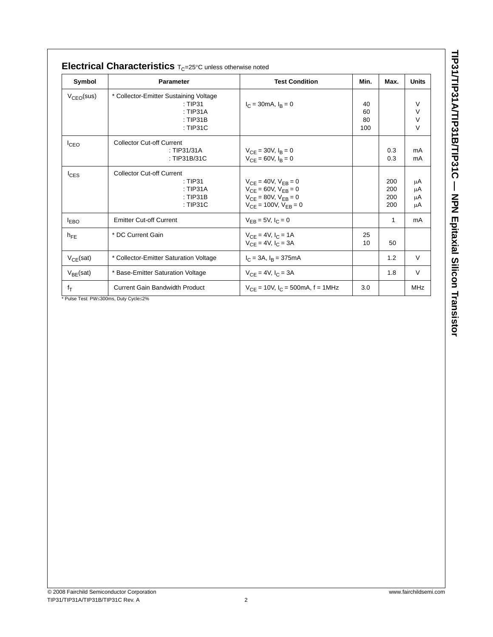| Symbol          | <b>Parameter</b>                                                                          | <b>Test Condition</b>                                                                                                          | Min.                  | Max.                     | <b>Units</b>                    |
|-----------------|-------------------------------------------------------------------------------------------|--------------------------------------------------------------------------------------------------------------------------------|-----------------------|--------------------------|---------------------------------|
| $V_{CEO}$ (sus) | * Collector-Emitter Sustaining Voltage<br>$\pm$ TIP31<br>: TIP31A<br>: TIP31B<br>: TIP31C | $I_C = 30 \text{mA}, I_R = 0$                                                                                                  | 40<br>60<br>80<br>100 |                          | V<br>$\vee$<br>$\vee$<br>$\vee$ |
| $I_{CEO}$       | <b>Collector Cut-off Current</b><br>: TIP31/31A<br>: TIP31B/31C                           | $V_{CF} = 30V, I_R = 0$<br>$V_{CF} = 60V, I_R = 0$                                                                             |                       | 0.3<br>0.3               | mA<br>mA                        |
| $I_{CES}$       | <b>Collector Cut-off Current</b><br>: TIP31<br>: TIP31A<br>: TIP31B<br>: TIP31C           | $V_{CF} = 40V$ , $V_{FB} = 0$<br>$V_{CF} = 60V$ , $V_{FB} = 0$<br>$V_{CE} = 80V, V_{EB} = 0$<br>$V_{CF} = 100V$ , $V_{FB} = 0$ |                       | 200<br>200<br>200<br>200 | μA<br>μA<br>μA<br>μA            |
| <b>LEBO</b>     | <b>Emitter Cut-off Current</b>                                                            | $V_{FB} = 5V, I_C = 0$                                                                                                         |                       | 1                        | mA                              |
| $h_{FE}$        | * DC Current Gain                                                                         | $V_{CF} = 4V, I_C = 1A$<br>$V_{CF} = 4V, I_C = 3A$                                                                             | 25<br>10              | 50                       |                                 |
| $V_{CE}$ (sat)  | * Collector-Emitter Saturation Voltage                                                    | $I_C = 3A$ , $I_R = 375mA$                                                                                                     |                       | 1.2                      | $\vee$                          |
| $V_{BE}$ (sat)  | * Base-Emitter Saturation Voltage                                                         | $V_{CF} = 4V$ , $I_C = 3A$                                                                                                     |                       | 1.8                      | $\vee$                          |
| $f_T$           | <b>Current Gain Bandwidth Product</b>                                                     | $V_{CF}$ = 10V, $I_C$ = 500mA, f = 1MHz                                                                                        | 3.0                   |                          | <b>MHz</b>                      |

TIP31/TIP31A/TIP31B/TIP31C - NPN Epitaxial Silicon Transistor **TIP31/TIP31A/TIP31B/TIP31C — NPN Epitaxial Silicon Transistor**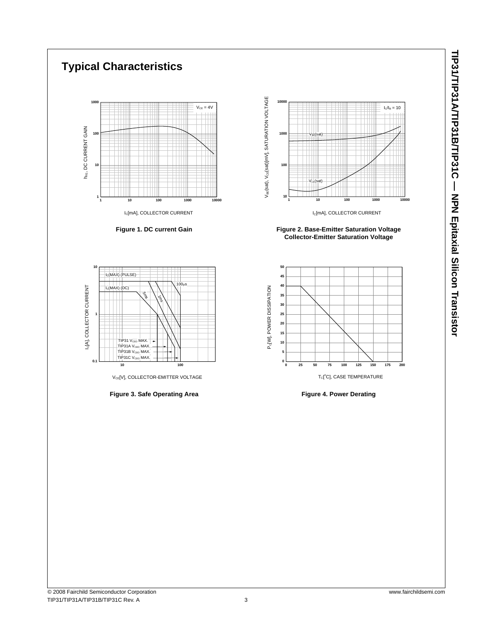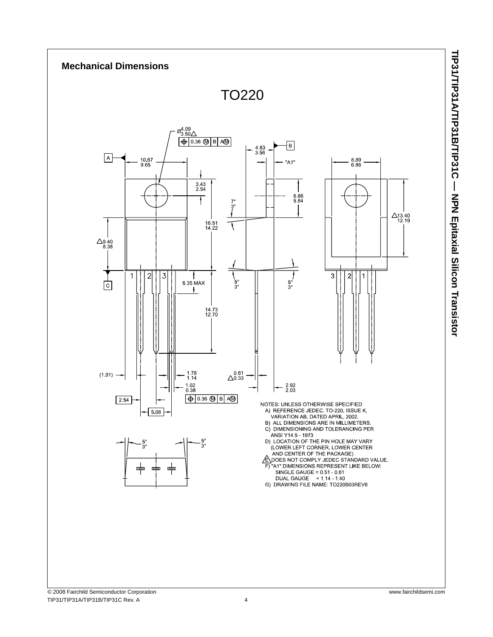